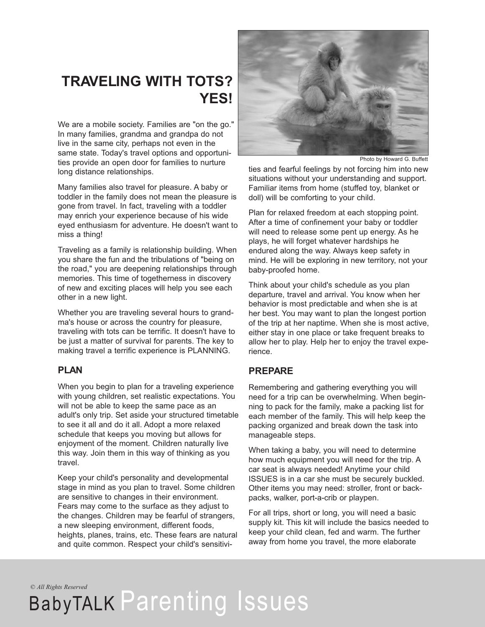### **TRAVELING WITH TOTS? YES!**

We are a mobile society. Families are "on the go." In many families, grandma and grandpa do not live in the same city, perhaps not even in the same state. Today's travel options and opportunities provide an open door for families to nurture long distance relationships.

Many families also travel for pleasure. A baby or toddler in the family does not mean the pleasure is gone from travel. In fact, traveling with a toddler may enrich your experience because of his wide eyed enthusiasm for adventure. He doesn't want to miss a thing!

Traveling as a family is relationship building. When you share the fun and the tribulations of "being on the road," you are deepening relationships through memories. This time of togetherness in discovery of new and exciting places will help you see each other in a new light.

Whether you are traveling several hours to grandma's house or across the country for pleasure, traveling with tots can be terrific. It doesn't have to be just a matter of survival for parents. The key to making travel a terrific experience is PLANNING.

#### **PLAN**

When you begin to plan for a traveling experience with young children, set realistic expectations. You will not be able to keep the same pace as an adult's only trip. Set aside your structured timetable to see it all and do it all. Adopt a more relaxed schedule that keeps you moving but allows for enjoyment of the moment. Children naturally live this way. Join them in this way of thinking as you travel.

Keep your child's personality and developmental stage in mind as you plan to travel. Some children are sensitive to changes in their environment. Fears may come to the surface as they adjust to the changes. Children may be fearful of strangers, a new sleeping environment, different foods, heights, planes, trains, etc. These fears are natural and quite common. Respect your child's sensitivi-



Photo by Howard G. Buffett

ties and fearful feelings by not forcing him into new situations without your understanding and support. Familiar items from home (stuffed toy, blanket or doll) will be comforting to your child.

Plan for relaxed freedom at each stopping point. After a time of confinement your baby or toddler will need to release some pent up energy. As he plays, he will forget whatever hardships he endured along the way. Always keep safety in mind. He will be exploring in new territory, not your baby-proofed home.

Think about your child's schedule as you plan departure, travel and arrival. You know when her behavior is most predictable and when she is at her best. You may want to plan the longest portion of the trip at her naptime. When she is most active, either stay in one place or take frequent breaks to allow her to play. Help her to enjoy the travel experience.

#### **PREPARE**

Remembering and gathering everything you will need for a trip can be overwhelming. When beginning to pack for the family, make a packing list for each member of the family. This will help keep the packing organized and break down the task into manageable steps.

When taking a baby, you will need to determine how much equipment you will need for the trip. A car seat is always needed! Anytime your child ISSUES is in a car she must be securely buckled. Other items you may need: stroller, front or backpacks, walker, port-a-crib or playpen.

For all trips, short or long, you will need a basic supply kit. This kit will include the basics needed to keep your child clean, fed and warm. The further away from home you travel, the more elaborate

*© All Rights Reserved*

## BabyTALK Parenting Issues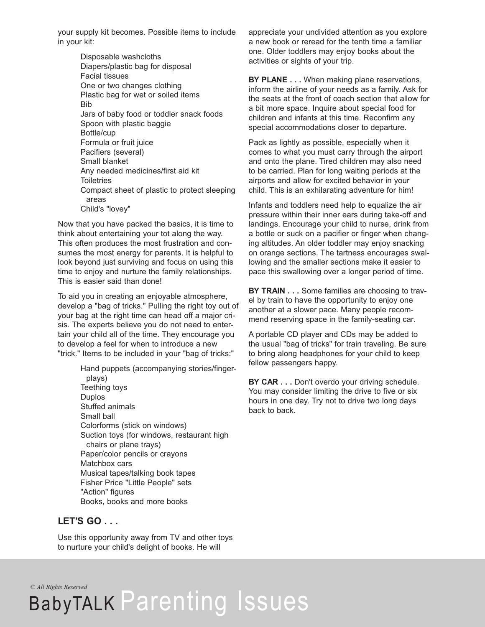your supply kit becomes. Possible items to include in your kit:

> Disposable washcloths Diapers/plastic bag for disposal Facial tissues One or two changes clothing Plastic bag for wet or soiled items Bib Jars of baby food or toddler snack foods Spoon with plastic baggie Bottle/cup Formula or fruit juice Pacifiers (several) Small blanket Any needed medicines/first aid kit **Toiletries** Compact sheet of plastic to protect sleeping areas Child's "lovey"

Now that you have packed the basics, it is time to think about entertaining your tot along the way. This often produces the most frustration and consumes the most energy for parents. It is helpful to look beyond just surviving and focus on using this time to enjoy and nurture the family relationships. This is easier said than done!

To aid you in creating an enjoyable atmosphere, develop a "bag of tricks." Pulling the right toy out of your bag at the right time can head off a major crisis. The experts believe you do not need to entertain your child all of the time. They encourage you to develop a feel for when to introduce a new "trick." Items to be included in your "bag of tricks:"

> Hand puppets (accompanying stories/fingerplays) Teething toys Duplos Stuffed animals Small ball Colorforms (stick on windows) Suction toys (for windows, restaurant high chairs or plane trays) Paper/color pencils or crayons Matchbox cars Musical tapes/talking book tapes Fisher Price "Little People" sets "Action" figures Books, books and more books

#### **LET'S GO . . .**

Use this opportunity away from TV and other toys to nurture your child's delight of books. He will

appreciate your undivided attention as you explore a new book or reread for the tenth time a familiar one. Older toddlers may enjoy books about the activities or sights of your trip.

**BY PLANE . . .** When making plane reservations, inform the airline of your needs as a family. Ask for the seats at the front of coach section that allow for a bit more space. Inquire about special food for children and infants at this time. Reconfirm any special accommodations closer to departure.

Pack as lightly as possible, especially when it comes to what you must carry through the airport and onto the plane. Tired children may also need to be carried. Plan for long waiting periods at the airports and allow for excited behavior in your child. This is an exhilarating adventure for him!

Infants and toddlers need help to equalize the air pressure within their inner ears during take-off and landings. Encourage your child to nurse, drink from a bottle or suck on a pacifier or finger when changing altitudes. An older toddler may enjoy snacking on orange sections. The tartness encourages swallowing and the smaller sections make it easier to pace this swallowing over a longer period of time.

**BY TRAIN . . .** Some families are choosing to travel by train to have the opportunity to enjoy one another at a slower pace. Many people recommend reserving space in the family-seating car.

A portable CD player and CDs may be added to the usual "bag of tricks" for train traveling. Be sure to bring along headphones for your child to keep fellow passengers happy.

**BY CAR . . .** Don't overdo your driving schedule. You may consider limiting the drive to five or six hours in one day. Try not to drive two long days back to back.

*© All Rights Reserved*

# BabyTALK Parenting Issues